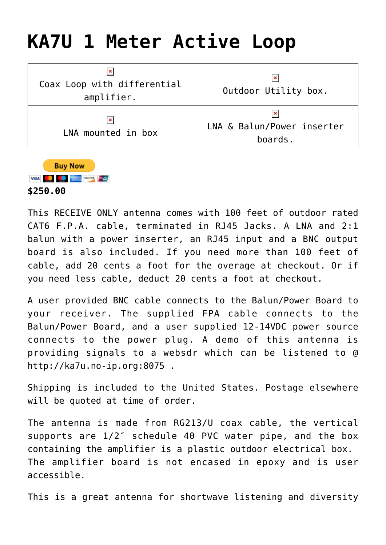## **[KA7U 1 Meter Active Loop](http://www.ka7u.us/2019/07/04/ka7u-1-meter-loop/)**

| ×<br>Coax Loop with differential<br>amplifier. | ×<br>Outdoor Utility box.                  |
|------------------------------------------------|--------------------------------------------|
| $\pmb{\times}$<br>LNA mounted in box           | ×<br>LNA & Balun/Power inserter<br>boards. |



This RECEIVE ONLY antenna comes with 100 feet of outdoor rated CAT6 F.P.A. cable, terminated in RJ45 Jacks. A LNA and 2:1 balun with a power inserter, an RJ45 input and a BNC output board is also included. If you need more than 100 feet of cable, add 20 cents a foot for the overage at checkout. Or if you need less cable, deduct 20 cents a foot at checkout.

A user provided BNC cable connects to the Balun/Power Board to your receiver. The supplied FPA cable connects to the Balun/Power Board, and a user supplied 12-14VDC power source connects to the power plug. A demo of this antenna is providing signals to a websdr which can be listened to @ <http://ka7u.no-ip.org:8075>.

Shipping is included to the United States. Postage elsewhere will be quoted at time of order.

The antenna is made from RG213/U coax cable, the vertical supports are 1/2″ schedule 40 PVC water pipe, and the box containing the amplifier is a plastic outdoor electrical box. The amplifier board is not encased in epoxy and is user accessible.

This is a great antenna for shortwave listening and diversity